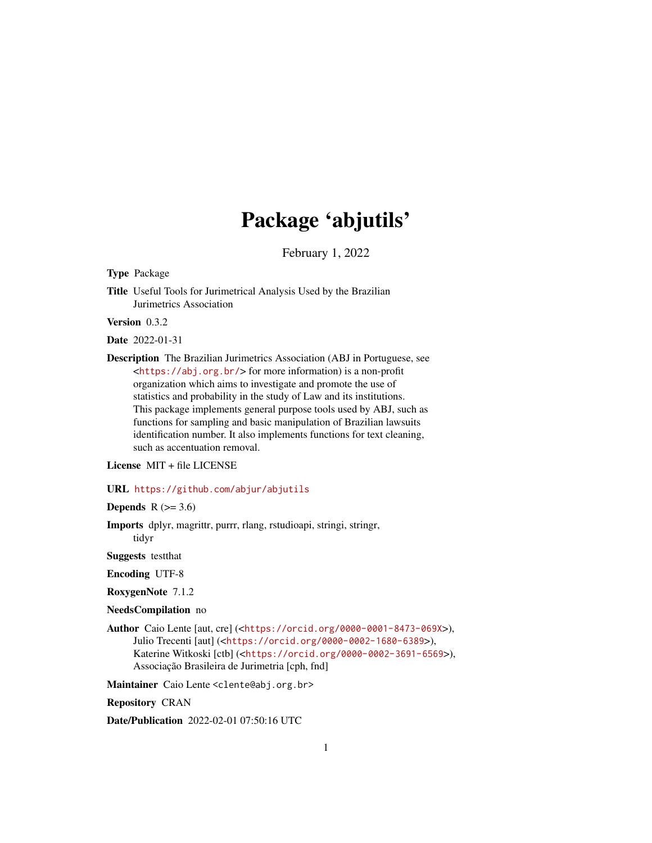# Package 'abjutils'

February 1, 2022

<span id="page-0-0"></span>Type Package

Title Useful Tools for Jurimetrical Analysis Used by the Brazilian Jurimetrics Association

Version 0.3.2

Date 2022-01-31

Description The Brazilian Jurimetrics Association (ABJ in Portuguese, see <<https://abj.org.br/>> for more information) is a non-profit organization which aims to investigate and promote the use of statistics and probability in the study of Law and its institutions. This package implements general purpose tools used by ABJ, such as functions for sampling and basic manipulation of Brazilian lawsuits identification number. It also implements functions for text cleaning, such as accentuation removal.

License MIT + file LICENSE

URL <https://github.com/abjur/abjutils>

**Depends**  $R$  ( $>= 3.6$ )

Imports dplyr, magrittr, purrr, rlang, rstudioapi, stringi, stringr, tidyr

Suggests testthat

Encoding UTF-8

RoxygenNote 7.1.2

NeedsCompilation no

Author Caio Lente [aut, cre] (<<https://orcid.org/0000-0001-8473-069X>>), Julio Trecenti [aut] (<<https://orcid.org/0000-0002-1680-6389>>), Katerine Witkoski [ctb] (<<https://orcid.org/0000-0002-3691-6569>>), Associação Brasileira de Jurimetria [cph, fnd]

Maintainer Caio Lente <clente@abj.org.br>

Repository CRAN

Date/Publication 2022-02-01 07:50:16 UTC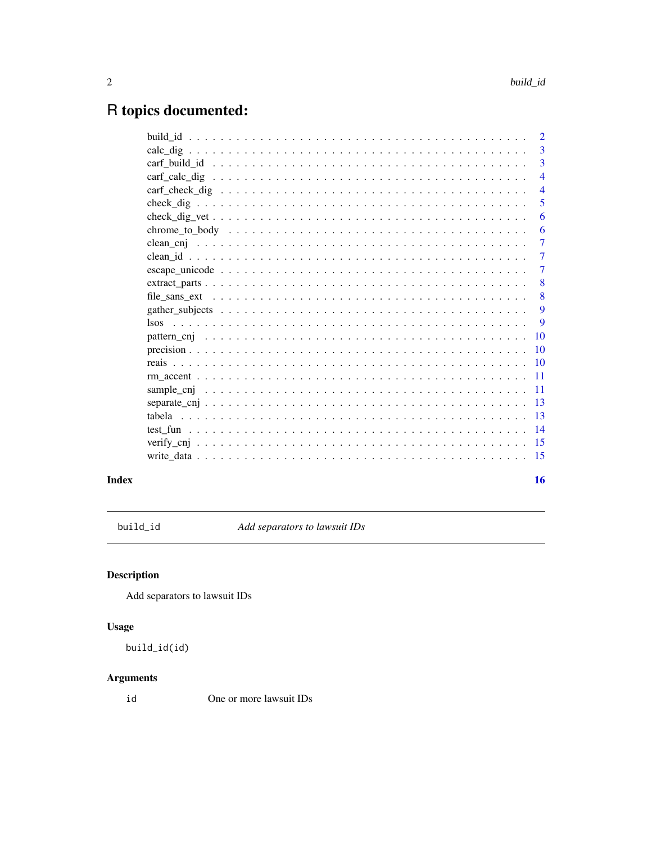# <span id="page-1-0"></span>R topics documented:

|  | $\mathcal{L}$            |
|--|--------------------------|
|  | $\overline{3}$           |
|  | 3                        |
|  | $\overline{4}$           |
|  | $\overline{\mathcal{A}}$ |
|  | 5                        |
|  | 6                        |
|  | 6                        |
|  | $\tau$                   |
|  | 7                        |
|  | $\tau$                   |
|  | 8                        |
|  | 8                        |
|  | 9                        |
|  | 9                        |
|  | 10                       |
|  | <b>10</b>                |
|  | $\overline{10}$          |
|  | $\overline{11}$          |
|  | -11                      |
|  | 13                       |
|  | $\overline{13}$          |
|  | $\overline{14}$          |
|  | -15                      |
|  | -15                      |
|  |                          |
|  | 16                       |

# **Index**

<span id="page-1-1"></span>build\_id

Add separators to lawsuit IDs

# **Description**

Add separators to lawsuit IDs

# **Usage**

```
build_id(id)
```
# **Arguments**

id One or more lawsuit IDs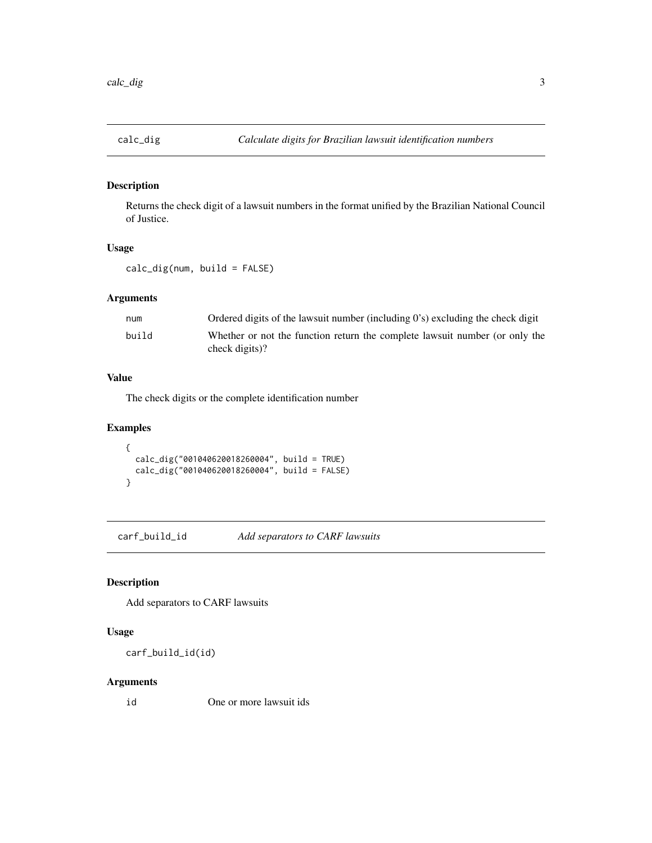<span id="page-2-0"></span>

Returns the check digit of a lawsuit numbers in the format unified by the Brazilian National Council of Justice.

#### Usage

calc\_dig(num, build = FALSE)

#### Arguments

| num   | Ordered digits of the lawsuit number (including $0$ 's) excluding the check digit |
|-------|-----------------------------------------------------------------------------------|
| build | Whether or not the function return the complete lawsuit number (or only the       |
|       | check digits)?                                                                    |

#### Value

The check digits or the complete identification number

# Examples

```
{
  calc_dig("001040620018260004", build = TRUE)
  calc_dig("001040620018260004", build = FALSE)
}
```
carf\_build\_id *Add separators to CARF lawsuits*

# Description

Add separators to CARF lawsuits

## Usage

```
carf_build_id(id)
```
#### Arguments

id One or more lawsuit ids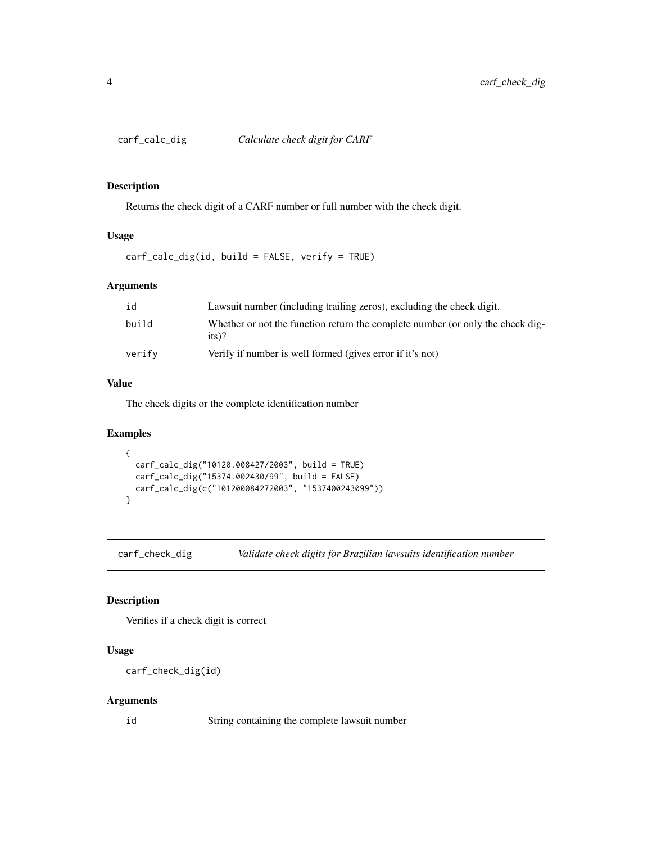<span id="page-3-0"></span>

Returns the check digit of a CARF number or full number with the check digit.

#### Usage

carf\_calc\_dig(id, build = FALSE, verify = TRUE)

#### Arguments

| id     | Lawsuit number (including trailing zeros), excluding the check digit.                     |
|--------|-------------------------------------------------------------------------------------------|
| build  | Whether or not the function return the complete number (or only the check dig-<br>$its$ ? |
| verify | Verify if number is well formed (gives error if it's not)                                 |

#### Value

The check digits or the complete identification number

#### Examples

```
{
  carf_calc_dig("10120.008427/2003", build = TRUE)
  carf_calc_dig("15374.002430/99", build = FALSE)
  carf_calc_dig(c("101200084272003", "1537400243099"))
}
```
carf\_check\_dig *Validate check digits for Brazilian lawsuits identification number*

#### Description

Verifies if a check digit is correct

# Usage

```
carf_check_dig(id)
```
#### Arguments

id String containing the complete lawsuit number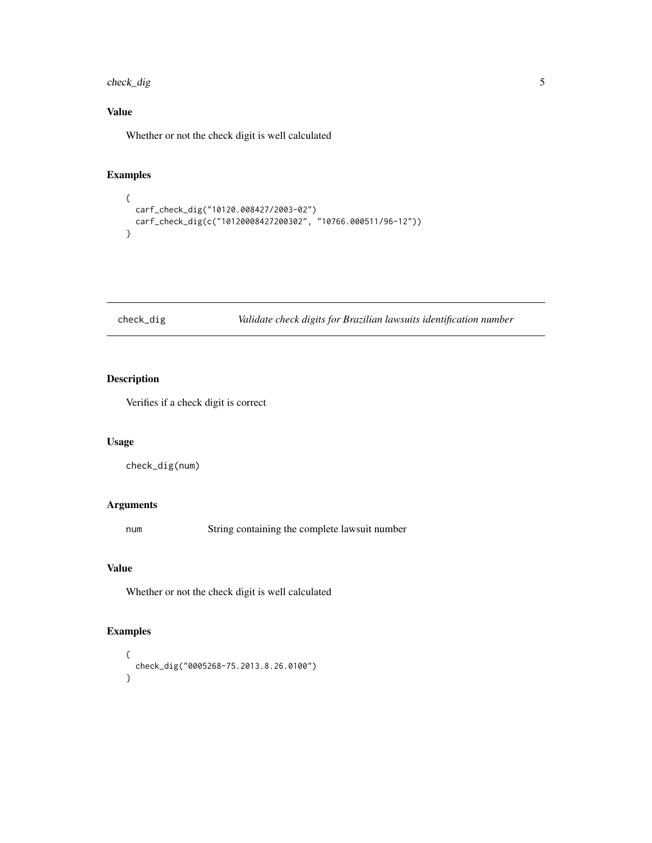<span id="page-4-0"></span>check\_dig 5

# Value

Whether or not the check digit is well calculated

# Examples

```
{
  carf_check_dig("10120.008427/2003-02")
  carf_check_dig(c("10120008427200302", "10766.000511/96-12"))
}
```
# check\_dig *Validate check digits for Brazilian lawsuits identification number*

#### Description

Verifies if a check digit is correct

#### Usage

check\_dig(num)

#### Arguments

num String containing the complete lawsuit number

# Value

Whether or not the check digit is well calculated

#### Examples

```
{
 check_dig("0005268-75.2013.8.26.0100")
}
```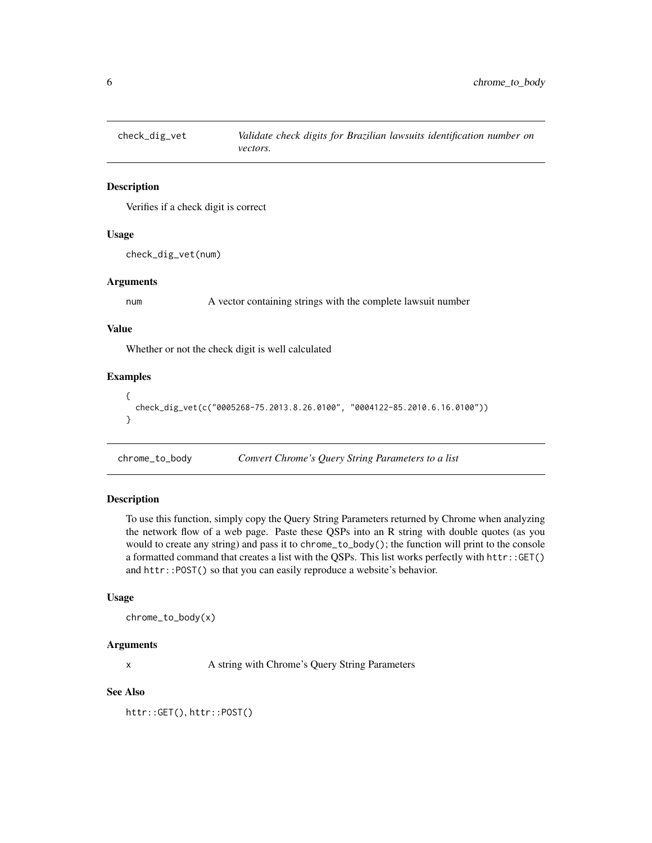<span id="page-5-0"></span>

Verifies if a check digit is correct

#### Usage

check\_dig\_vet(num)

#### Arguments

num A vector containing strings with the complete lawsuit number

#### Value

Whether or not the check digit is well calculated

#### Examples

```
{
 check_dig_vet(c("0005268-75.2013.8.26.0100", "0004122-85.2010.6.16.0100"))
}
```
chrome\_to\_body *Convert Chrome's Query String Parameters to a list*

#### Description

To use this function, simply copy the Query String Parameters returned by Chrome when analyzing the network flow of a web page. Paste these QSPs into an R string with double quotes (as you would to create any string) and pass it to chrome\_to\_body(); the function will print to the console a formatted command that creates a list with the QSPs. This list works perfectly with httr::GET() and httr::POST() so that you can easily reproduce a website's behavior.

#### Usage

```
chrome_to_body(x)
```
#### Arguments

x A string with Chrome's Query String Parameters

# See Also

httr::GET(), httr::POST()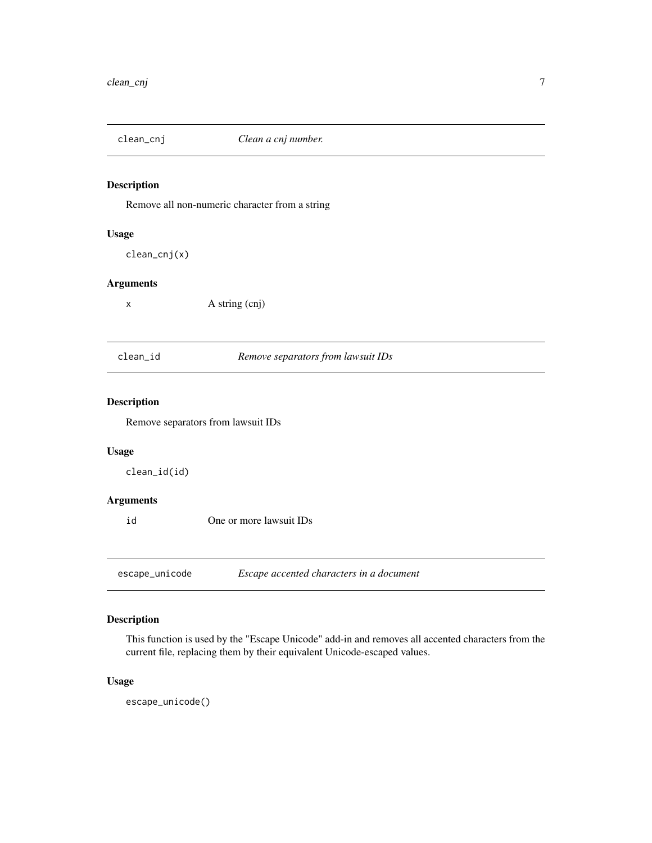<span id="page-6-0"></span>

Remove all non-numeric character from a string

# Usage

clean\_cnj(x)

#### Arguments

x A string (cnj)

clean\_id *Remove separators from lawsuit IDs*

#### Description

Remove separators from lawsuit IDs

#### Usage

clean\_id(id)

#### Arguments

id One or more lawsuit IDs

escape\_unicode *Escape accented characters in a document*

#### Description

This function is used by the "Escape Unicode" add-in and removes all accented characters from the current file, replacing them by their equivalent Unicode-escaped values.

#### Usage

escape\_unicode()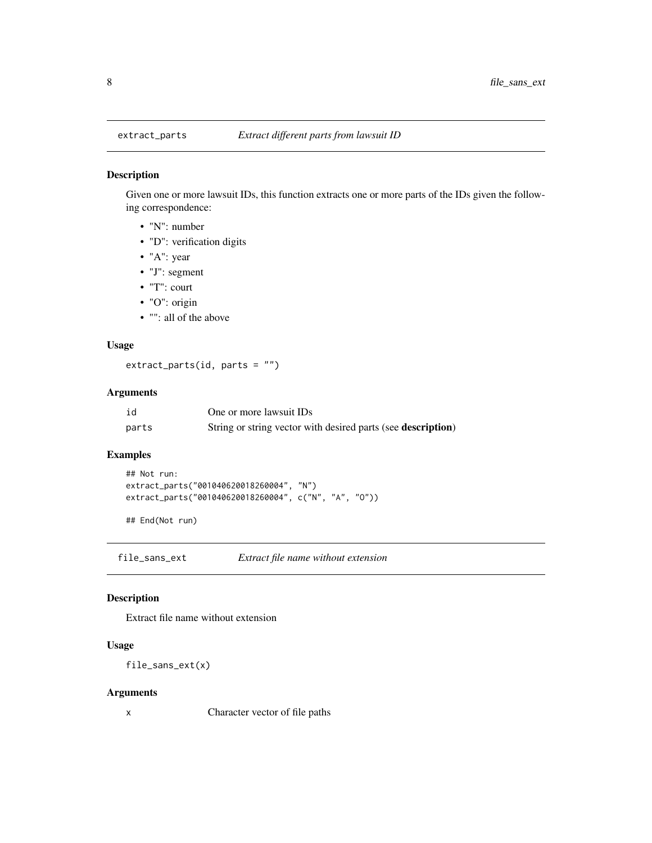Given one or more lawsuit IDs, this function extracts one or more parts of the IDs given the following correspondence:

- "N": number
- "D": verification digits
- "A": year
- "J": segment
- "T": court
- "O": origin
- "": all of the above

#### Usage

 $extract_parts(id, parts = "")$ 

# Arguments

| id    | One or more lawsuit IDs                                              |
|-------|----------------------------------------------------------------------|
| parts | String or string vector with desired parts (see <b>description</b> ) |

#### Examples

```
## Not run:
extract_parts("001040620018260004", "N")
extract_parts("001040620018260004", c("N", "A", "O"))
```
## End(Not run)

file\_sans\_ext *Extract file name without extension*

#### Description

Extract file name without extension

#### Usage

file\_sans\_ext(x)

#### Arguments

x Character vector of file paths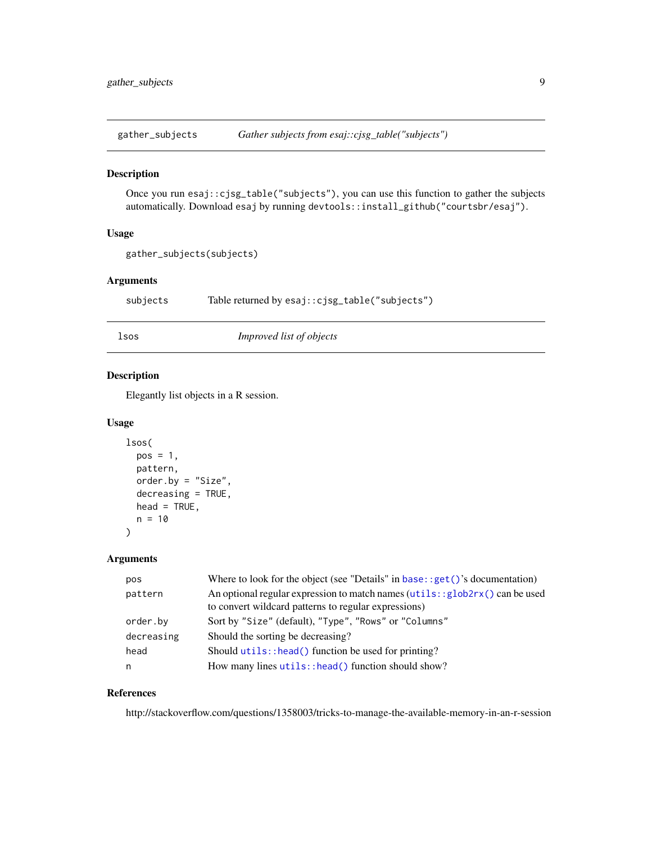<span id="page-8-0"></span>gather\_subjects *Gather subjects from esaj::cjsg\_table("subjects")*

#### Description

Once you run esaj::cjsg\_table("subjects"), you can use this function to gather the subjects automatically. Download esaj by running devtools::install\_github("courtsbr/esaj").

#### Usage

```
gather_subjects(subjects)
```
#### Arguments

subjects Table returned by esaj::cjsg\_table("subjects")

lsos *Improved list of objects*

#### Description

Elegantly list objects in a R session.

#### Usage

```
lsos(
 pos = 1,
 pattern,
 order.by = "Size",
  decreasing = TRUE,
 head = TRUE,
 n = 10
```
#### Arguments

)

| pos        | Where to look for the object (see "Details" in base: : $get()$ 's documentation)                                                     |
|------------|--------------------------------------------------------------------------------------------------------------------------------------|
| pattern    | An optional regular expression to match names (utils:: glob2rx() can be used<br>to convert wildcard patterns to regular expressions) |
| order.by   | Sort by "Size" (default), "Type", "Rows" or "Columns"                                                                                |
| decreasing | Should the sorting be decreasing?                                                                                                    |
| head       | Should $utils$ : head() function be used for printing?                                                                               |
| n          | How many lines utils:: head () function should show?                                                                                 |

#### References

http://stackoverflow.com/questions/1358003/tricks-to-manage-the-available-memory-in-an-r-session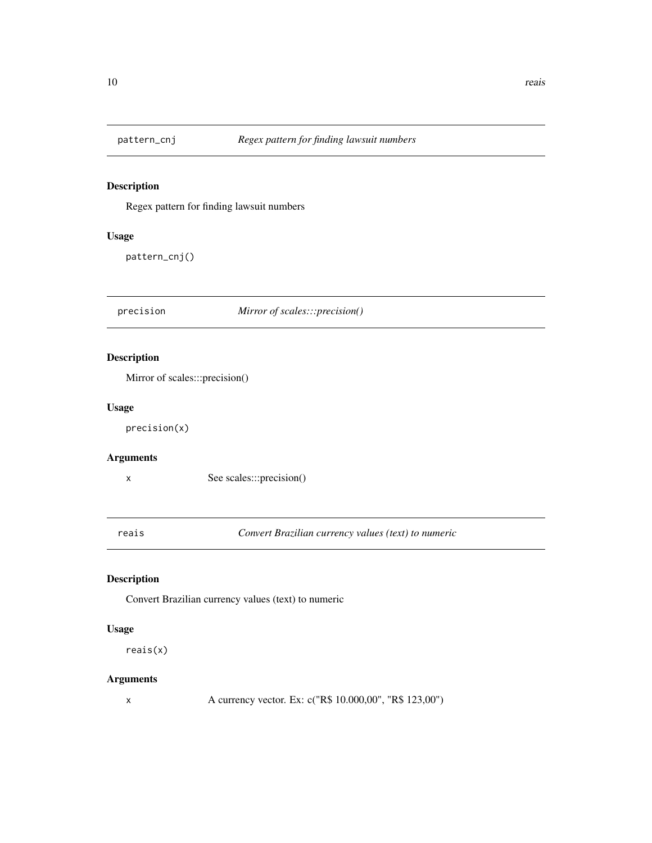<span id="page-9-0"></span>

Regex pattern for finding lawsuit numbers

#### Usage

pattern\_cnj()

precision *Mirror of scales:::precision()*

#### Description

Mirror of scales:::precision()

#### Usage

precision(x)

#### Arguments

x See scales:::precision()

reais *Convert Brazilian currency values (text) to numeric*

# Description

Convert Brazilian currency values (text) to numeric

#### Usage

reais(x)

#### Arguments

x A currency vector. Ex: c("R\$ 10.000,00", "R\$ 123,00")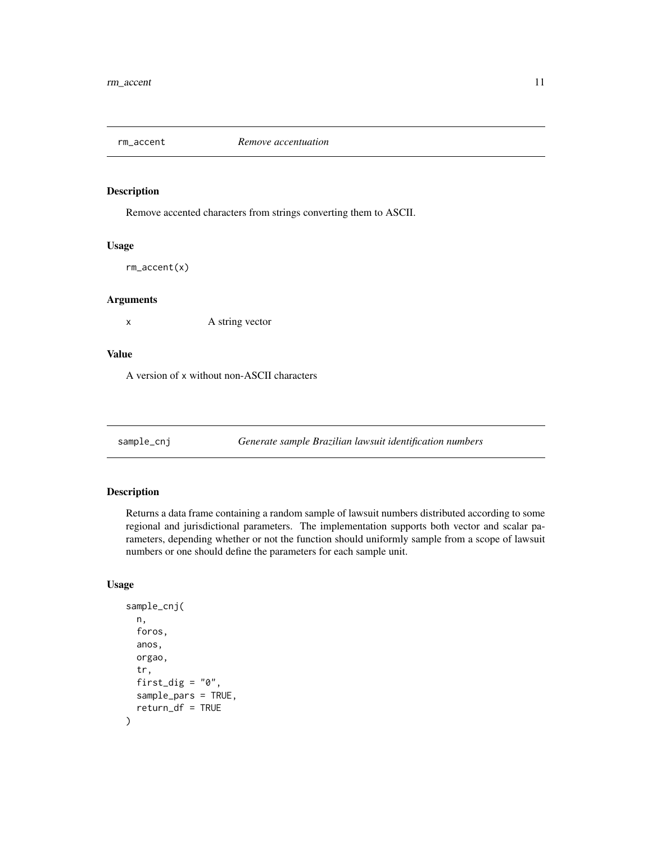<span id="page-10-0"></span>

Remove accented characters from strings converting them to ASCII.

#### Usage

rm\_accent(x)

#### Arguments

x A string vector

#### Value

A version of x without non-ASCII characters

sample\_cnj *Generate sample Brazilian lawsuit identification numbers*

#### Description

Returns a data frame containing a random sample of lawsuit numbers distributed according to some regional and jurisdictional parameters. The implementation supports both vector and scalar parameters, depending whether or not the function should uniformly sample from a scope of lawsuit numbers or one should define the parameters for each sample unit.

#### Usage

```
sample_cnj(
 n,
  foros,
  anos,
  orgao,
  tr,
  first_dig = "0",sample_pars = TRUE,
  return_df = TRUE
)
```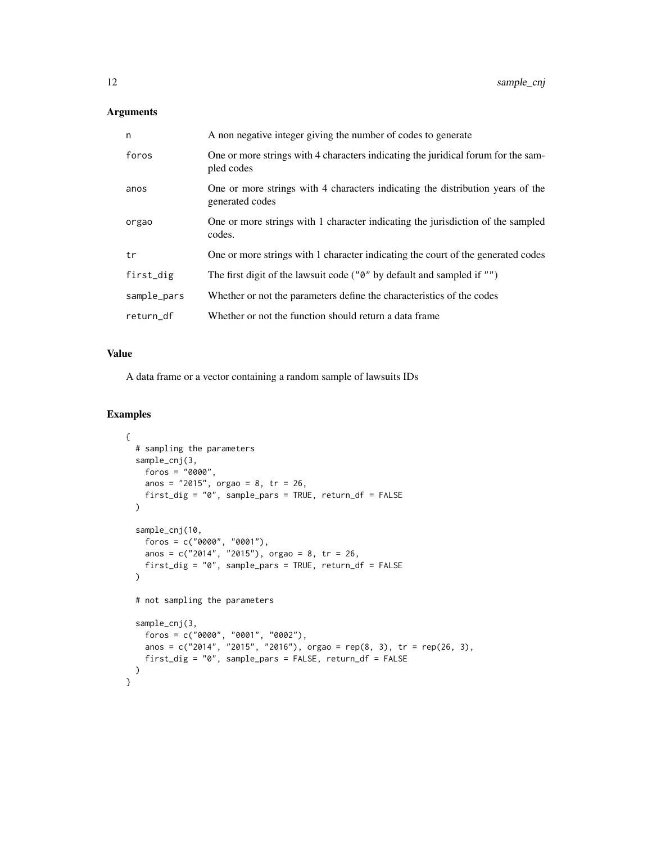# Arguments

| n           | A non negative integer giving the number of codes to generate                                     |
|-------------|---------------------------------------------------------------------------------------------------|
| foros       | One or more strings with 4 characters indicating the juridical forum for the sam-<br>pled codes   |
| anos        | One or more strings with 4 characters indicating the distribution years of the<br>generated codes |
| orgao       | One or more strings with 1 character indicating the jurisdiction of the sampled<br>codes.         |
| tr          | One or more strings with 1 character indicating the court of the generated codes                  |
| first_dig   | The first digit of the lawsuit code (" $\theta$ " by default and sampled if "")                   |
| sample_pars | Whether or not the parameters define the characteristics of the codes                             |
| return_df   | Whether or not the function should return a data frame                                            |

#### Value

A data frame or a vector containing a random sample of lawsuits IDs

#### Examples

```
{
  # sampling the parameters
  sample_cnj(3,
   foros = "0000",
   anos = "2015", orgao = 8, tr = 26,
   first_dig = "0", sample_pars = TRUE, return_df = FALSE
  )
  sample_cnj(10,
    foros = c("0000", "0001"),
    anos = c("2014", "2015"), orgao = 8, tr = 26,
   first_dig = "0", sample_pars = TRUE, return_df = FALSE
  \lambda# not sampling the parameters
  sample_cnj(3,
    foros = c("0000", "0001", "0002"),
    anos = c("2014", "2015", "2016"), orgao = rep(8, 3), tr = rep(26, 3),
   first_dig = "0", sample_pars = FALSE, return_df = FALSE
 )
}
```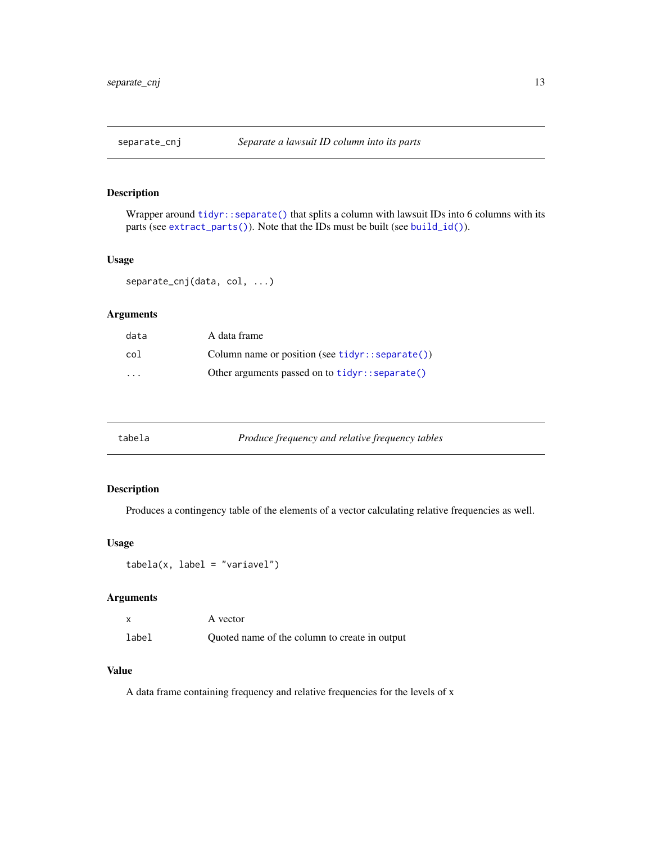<span id="page-12-0"></span>

Wrapper around [tidyr::separate\(\)](#page-0-0) that splits a column with lawsuit IDs into 6 columns with its parts (see [extract\\_parts\(\)](#page-7-1)). Note that the IDs must be built (see [build\\_id\(\)](#page-1-1)).

#### Usage

separate\_cnj(data, col, ...)

#### Arguments

| data                    | A data frame                                              |
|-------------------------|-----------------------------------------------------------|
| col                     | Column name or position (see $\text{tidyr}$ : separate()) |
| $\cdot$ $\cdot$ $\cdot$ | Other arguments passed on to $\text{tidyr}$ : separate()  |

| Produce frequency and relative frequency tables<br>tabela |  |
|-----------------------------------------------------------|--|
|-----------------------------------------------------------|--|

#### Description

Produces a contingency table of the elements of a vector calculating relative frequencies as well.

# Usage

tabela(x, label = "variavel")

# Arguments

|       | A vector                                      |
|-------|-----------------------------------------------|
| label | Quoted name of the column to create in output |

#### Value

A data frame containing frequency and relative frequencies for the levels of x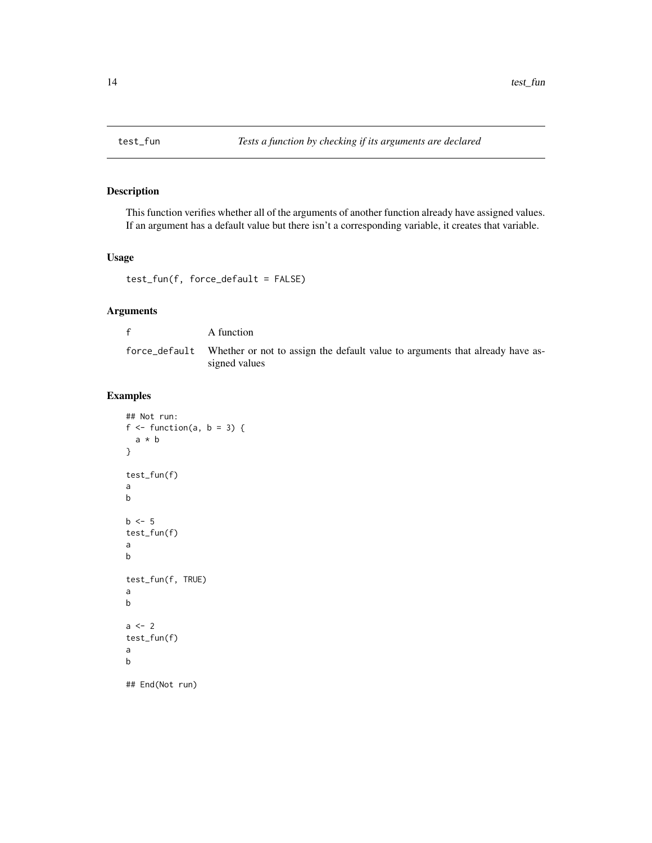<span id="page-13-0"></span>

This function verifies whether all of the arguments of another function already have assigned values. If an argument has a default value but there isn't a corresponding variable, it creates that variable.

# Usage

test\_fun(f, force\_default = FALSE)

# Arguments

| A function                                                                                                   |
|--------------------------------------------------------------------------------------------------------------|
| force_default Whether or not to assign the default value to arguments that already have as-<br>signed values |

#### Examples

```
## Not run:
f \leftarrow function(a, b = 3) {
  a * b
}
test_fun(f)
a
b
b \leq -5test_fun(f)
a
b
test_fun(f, TRUE)
a
b
a \leftarrow 2test_fun(f)
a
b
## End(Not run)
```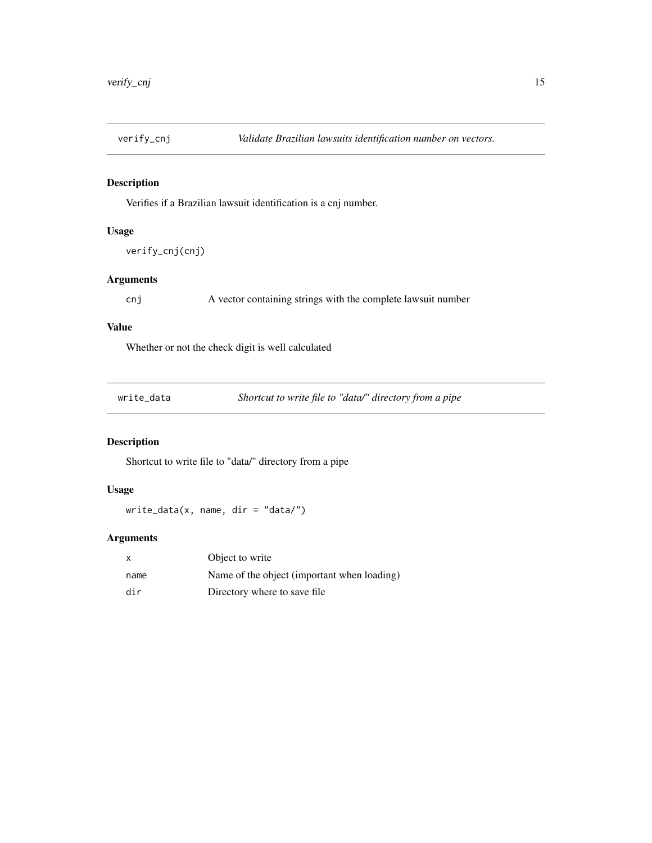<span id="page-14-0"></span>

Verifies if a Brazilian lawsuit identification is a cnj number.

#### Usage

```
verify_cnj(cnj)
```
#### Arguments

cnj A vector containing strings with the complete lawsuit number

#### Value

Whether or not the check digit is well calculated

| write_data |
|------------|
|------------|

Shortcut to write file to "data/" directory from a pipe

#### Description

Shortcut to write file to "data/" directory from a pipe

#### Usage

write\_data(x, name, dir = "data/")

#### Arguments

| $\mathsf{x}$ | Object to write                             |
|--------------|---------------------------------------------|
| name         | Name of the object (important when loading) |
| dir          | Directory where to save file.               |